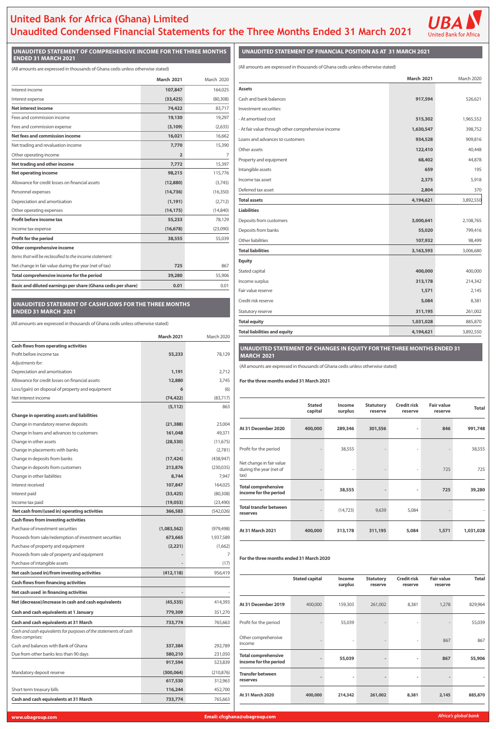# **United Bank for Africa (Ghana) Limited Unaudited Condensed Financial Statements for the Three Months Ended 31 March 2021**



## **UNAUDITED STATEMENT OF COMPREHENSIVE INCOME FOR THE THREE MONTHS ENDED 31 MARCH 2021**

|                                                              | <b>March 2021</b> | March 2020 |
|--------------------------------------------------------------|-------------------|------------|
| Interest income                                              | 107,847           | 164,025    |
| Interest expense                                             | (33, 425)         | (80, 308)  |
| Net interest income                                          | 74,422            | 83,717     |
| Fees and commission income                                   | 19,130            | 19,297     |
| Fees and commission expense                                  | (3, 109)          | (2,635)    |
| Net fees and commission income                               | 16,021            | 16,662     |
| Net trading and revaluation income                           | 7,770             | 15,390     |
| Other operating income                                       | $\overline{2}$    | 7          |
| Net trading and other income                                 | 7,772             | 15,397     |
| <b>Net operating income</b>                                  | 98,215            | 115,776    |
| Allowance for credit losses on financial assets              | (12, 880)         | (3,745)    |
| Personnel expenses                                           | (14, 736)         | (16, 350)  |
| Depreciation and amortisation                                | (1, 191)          | (2,712)    |
| Other operating expenses                                     | (14, 175)         | (14, 840)  |
| Profit before income tax                                     | 55,233            | 78,129     |
| Income tax expense                                           | (16, 678)         | (23,090)   |
| Profit for the period                                        | 38,555            | 55,039     |
| <b>Other comprehensive income</b>                            |                   |            |
| Items that will be reclassified to the income statement:     |                   |            |
| Net change in fair value during the year (net of tax)        | 725               | 867        |
| Total comprehensive income for the period                    | 39,280            | 55,906     |
| Basic and diluted earnings per share (Ghana cedis per share) | 0.01              | 0.01       |

|                                                    | <b>March 2021</b> | March 2020 |
|----------------------------------------------------|-------------------|------------|
| <b>Assets</b>                                      |                   |            |
| Cash and bank balances                             | 917,594           | 526,621    |
| Investment securities:                             |                   |            |
| - At amortised cost                                | 515,302           | 1,965,552  |
| - At fair value through other comprehensive income | 1,630,547         | 398,752    |
| Loans and advances to customers                    | 934,528           | 909,816    |
| Other assets                                       | 122,410           | 40,448     |
| Property and equipment                             | 68,402            | 44,878     |
| Intangible assets                                  | 659               | 195        |
| Income tax asset                                   | 2,375             | 5,918      |
| Deferred tax asset                                 | 2,804             | 370        |
| <b>Total assets</b>                                | 4,194,621         | 3,892,550  |
| <b>Liabilities</b>                                 |                   |            |
| Deposits from customers                            | 3,000,641         | 2,108,765  |
| Deposits from banks                                | 55,020            | 799,416    |
| Other liabilities                                  | 107,932           | 98,499     |
| <b>Total liabilities</b>                           | 3,163,593         | 3,006,680  |
| <b>Equity</b>                                      |                   |            |
| Stated capital                                     | 400,000           | 400,000    |
| Income surplus                                     | 313,178           | 214,342    |
| Fair value reserve                                 | 1,571             | 2,145      |
| Credit risk reserve                                | 5,084             | 8,381      |
| Statutory reserve                                  | 311,195           | 261,002    |
| <b>Total equity</b>                                | 1,031,028         | 885,870    |
| <b>Total liabilities and equity</b>                | 4,194,621         | 3,892,550  |

| Net interest income                                                                  | (74,422)    | (83, 717)      |                                           |                          |                          |                             |                               |                              |              |
|--------------------------------------------------------------------------------------|-------------|----------------|-------------------------------------------|--------------------------|--------------------------|-----------------------------|-------------------------------|------------------------------|--------------|
|                                                                                      | (5, 112)    | 863            |                                           | <b>Stated</b><br>capital | <b>Income</b><br>surplus | <b>Statutory</b><br>reserve | <b>Credit risk</b><br>reserve | <b>Fair value</b><br>reserve | <b>Total</b> |
| <b>Change in operating assets and liabilities</b>                                    |             |                |                                           |                          |                          |                             |                               |                              |              |
| Change in mandatory reserve deposits                                                 | (21, 388)   | 23,004         | At 31 December 2020                       | 400,000                  | 289,346                  | 301,556                     |                               | 846                          | 991,748      |
| Change in loans and advances to customers                                            | 161,048     | 49,371         |                                           |                          |                          |                             |                               |                              |              |
| Change in other assets                                                               | (28, 530)   | (11,675)       |                                           |                          |                          |                             |                               |                              |              |
| Change in placements with banks                                                      |             | (2,781)        | Profit for the period                     |                          | 38,555                   |                             |                               |                              | 38,555       |
| Change in deposits from banks                                                        | (17, 424)   | (438, 947)     | Net change in fair value                  |                          |                          |                             |                               |                              |              |
| Change in deposits from customers                                                    | 213,876     | (230, 035)     | during the year (net of                   |                          |                          |                             |                               | 725                          | 725          |
| Change in other liabilities                                                          | 8,744       | 7,947          | tax)                                      |                          |                          |                             |                               |                              |              |
| Interest received                                                                    | 107,847     | 164,025        | <b>Total comprehensive</b>                |                          |                          |                             |                               |                              |              |
| Interest paid                                                                        | (33, 425)   | (80, 308)      | income for the period                     |                          | 38,555                   |                             |                               | 725                          | 39,280       |
| Income tax paid                                                                      | (19,053)    | (23, 490)      |                                           |                          |                          |                             |                               |                              |              |
| Net cash from/(used in) operating activities                                         | 366,583     | (542, 026)     | <b>Total transfer between</b><br>reserves |                          | (14, 723)                | 9,639                       | 5,084                         |                              |              |
| <b>Cash flows from investing activities</b>                                          |             |                |                                           |                          |                          |                             |                               |                              |              |
| Purchase of investment securities                                                    | (1,083,562) | (979, 498)     | At 31 March 2021                          | 400,000                  | 313,178                  | 311,195                     | 5,084                         | 1,571                        | 1,031,028    |
| Proceeds from sale/redemption of investment securities                               | 673,665     | 1,937,589      |                                           |                          |                          |                             |                               |                              |              |
| Purchase of property and equipment                                                   | (2,221)     | (1,662)        |                                           |                          |                          |                             |                               |                              |              |
| Proceeds from sale of property and equipment                                         |             | $\overline{7}$ | For the three months ended 31 March 2020  |                          |                          |                             |                               |                              |              |
| Purchase of intangible assets                                                        |             | (17)           |                                           |                          |                          |                             |                               |                              |              |
| Net cash (used in)/from investing activities                                         | (412, 118)  | 956,419        |                                           |                          |                          |                             |                               |                              |              |
| <b>Cash flows from financing activities</b>                                          |             |                |                                           | <b>Stated capital</b>    | <b>Income</b><br>surplus | <b>Statutory</b><br>reserve | <b>Credit risk</b><br>reserve | <b>Fair value</b><br>reserve | <b>Total</b> |
| Net cash used in financing activities                                                |             |                |                                           |                          |                          |                             |                               |                              |              |
| Net (decrease)/increase in cash and cash equivalents                                 | (45, 535)   | 414,393        | At 31 December 2019                       | 400,000                  | 159,303                  | 261,002                     | 8,381                         | 1,278                        | 829,964      |
| <b>Cash and cash equivalents at 1 January</b>                                        | 779,309     | 351,270        |                                           |                          |                          |                             |                               |                              |              |
| <b>Cash and cash equivalents at 31 March</b>                                         | 733,774     | 765,663        | Profit for the period                     |                          | 55,039                   |                             |                               |                              | 55,039       |
| Cash and cash equivalents for purposes of the statements of cash<br>flows comprises: |             |                | Other comprehensive                       |                          |                          |                             |                               |                              |              |
| Cash and balances with Bank of Ghana                                                 | 337,384     | 292,789        | income                                    |                          |                          |                             |                               | 867                          | 867          |
| Due from other banks less than 90 days                                               | 580,210     | 231,050        | <b>Total comprehensive</b>                |                          |                          |                             |                               |                              |              |
|                                                                                      | 917,594     | 523,839        | income for the period                     |                          | 55,039                   |                             |                               | 867                          | 55,906       |
| Mandatory deposit reserve                                                            | (300, 064)  | (210, 876)     | <b>Transfer between</b>                   |                          |                          |                             |                               |                              |              |
|                                                                                      | 617,530     | 312,963        | reserves                                  |                          |                          |                             |                               |                              |              |
| Short term treasury bills                                                            | 116,244     | 452,700        |                                           |                          |                          |                             |                               |                              |              |
| <b>Cash and cash equivalents at 31 March</b>                                         | 733,774     | 765,663        | At 31 March 2020                          | 400,000                  | 214,342                  | 261,002                     | 8,381                         | 2,145                        | 885,870      |
|                                                                                      |             |                |                                           |                          |                          |                             |                               |                              |              |

|                                                                                      | <b>March 2021</b> | March 2020     |                                                                                 |                       |                   |                             |                               |                              |              |
|--------------------------------------------------------------------------------------|-------------------|----------------|---------------------------------------------------------------------------------|-----------------------|-------------------|-----------------------------|-------------------------------|------------------------------|--------------|
| <b>Cash flows from operating activities</b>                                          |                   |                | UNAUDITED STATEMENT OF CHANGES IN EQUITY FOR THE THREE MONTHS ENDED 31          |                       |                   |                             |                               |                              |              |
| Profit before income tax                                                             | 55,233            | 78,129         | <b>MARCH 2021</b>                                                               |                       |                   |                             |                               |                              |              |
| Adjustments for:                                                                     |                   |                | (All amounts are expressed in thousands of Ghana cedis unless otherwise stated) |                       |                   |                             |                               |                              |              |
| Depreciation and amortisation                                                        | 1,191             | 2,712          |                                                                                 |                       |                   |                             |                               |                              |              |
| Allowance for credit losses on financial assets                                      | 12,880            | 3,745          | For the three months ended 31 March 2021                                        |                       |                   |                             |                               |                              |              |
| Loss/(gain) on disposal of property and equipment                                    | 6                 | (6)            |                                                                                 |                       |                   |                             |                               |                              |              |
| Net interest income                                                                  | (74, 422)         | (83,717)       |                                                                                 |                       |                   |                             |                               |                              |              |
|                                                                                      | (5, 112)          | 863            |                                                                                 | <b>Stated</b>         | <b>Income</b>     | <b>Statutory</b>            | <b>Credit risk</b>            | <b>Fair value</b>            | <b>Total</b> |
| <b>Change in operating assets and liabilities</b>                                    |                   |                |                                                                                 | capital               | surplus           | reserve                     | reserve                       | reserve                      |              |
| Change in mandatory reserve deposits                                                 | (21, 388)         | 23,004         | At 31 December 2020                                                             |                       | 289,346           | 301,556                     |                               | 846                          | 991,748      |
| Change in loans and advances to customers                                            | 161,048           | 49,371         |                                                                                 | 400,000               |                   |                             |                               |                              |              |
| Change in other assets                                                               | (28, 530)         | (11, 675)      |                                                                                 |                       |                   |                             |                               |                              |              |
| Change in placements with banks                                                      |                   | (2,781)        | Profit for the period                                                           |                       | 38,555            |                             |                               |                              | 38,555       |
| Change in deposits from banks                                                        | (17, 424)         | (438, 947)     |                                                                                 |                       |                   |                             |                               |                              |              |
| Change in deposits from customers                                                    | 213,876           | (230, 035)     | Net change in fair value<br>during the year (net of                             |                       |                   |                             |                               | 725                          | 725          |
| Change in other liabilities                                                          | 8,744             | 7,947          | tax)                                                                            |                       |                   |                             |                               |                              |              |
| Interest received                                                                    | 107,847           | 164,025        | <b>Total comprehensive</b>                                                      |                       |                   |                             |                               |                              |              |
| Interest paid                                                                        | (33, 425)         | (80, 308)      | income for the period                                                           |                       | 38,555            |                             |                               | 725                          | 39,280       |
| Income tax paid                                                                      | (19,053)          | (23, 490)      |                                                                                 |                       |                   |                             |                               |                              |              |
| Net cash from/(used in) operating activities                                         | 366,583           | (542, 026)     | <b>Total transfer between</b><br>reserves                                       |                       | (14, 723)         | 9,639                       | 5,084                         |                              |              |
| <b>Cash flows from investing activities</b>                                          |                   |                |                                                                                 |                       |                   |                             |                               |                              |              |
| Purchase of investment securities                                                    | (1,083,562)       | (979, 498)     | At 31 March 2021                                                                | 400,000               | 313,178           | 311,195                     | 5,084                         | 1,571                        | 1,031,028    |
| Proceeds from sale/redemption of investment securities                               | 673,665           | 1,937,589      |                                                                                 |                       |                   |                             |                               |                              |              |
| Purchase of property and equipment                                                   | (2, 221)          | (1,662)        |                                                                                 |                       |                   |                             |                               |                              |              |
| Proceeds from sale of property and equipment                                         |                   | $\overline{7}$ | For the three months ended 31 March 2020                                        |                       |                   |                             |                               |                              |              |
| Purchase of intangible assets                                                        |                   | (17)           |                                                                                 |                       |                   |                             |                               |                              |              |
| Net cash (used in)/from investing activities                                         | (412, 118)        | 956,419        |                                                                                 |                       |                   |                             |                               |                              |              |
| <b>Cash flows from financing activities</b>                                          |                   |                |                                                                                 | <b>Stated capital</b> | Income<br>surplus | <b>Statutory</b><br>reserve | <b>Credit risk</b><br>reserve | <b>Fair value</b><br>reserve | <b>Total</b> |
| Net cash used in financing activities                                                |                   |                |                                                                                 |                       |                   |                             |                               |                              |              |
| Net (decrease)/increase in cash and cash equivalents                                 | (45, 535)         | 414,393        | At 31 December 2019                                                             | 400,000               | 159,303           | 261,002                     | 8,381                         | 1,278                        | 829,964      |
| Cash and cash equivalents at 1 January                                               | 779,309           | 351,270        |                                                                                 |                       |                   |                             |                               |                              |              |
| <b>Cash and cash equivalents at 31 March</b>                                         | 733,774           | 765,663        | Profit for the period                                                           |                       | 55,039            |                             |                               |                              | 55,039       |
| Cash and cash equivalents for purposes of the statements of cash<br>flows comprises: |                   |                | Other comprehensive                                                             |                       |                   |                             |                               | 867                          | 867          |
| Cash and balances with Bank of Ghana                                                 | 337,384           | 292,789        | income                                                                          |                       |                   |                             |                               |                              |              |
| Due from other banks less than 90 days                                               | 580,210           | 231,050        | <b>Total comprehensive</b>                                                      |                       |                   |                             |                               |                              |              |
|                                                                                      | 917,594           | 523,839        | income for the period                                                           |                       | 55,039            |                             |                               | 867                          | 55,906       |
| Mandatory deposit reserve                                                            | (300, 064)        | (210, 876)     | <b>Transfer between</b>                                                         |                       |                   |                             |                               |                              |              |
|                                                                                      | 617,530           | 312,963        | reserves                                                                        |                       |                   |                             |                               |                              |              |
| Short term treasury bills                                                            | 116,244           | 452,700        |                                                                                 |                       |                   |                             |                               |                              |              |
| <b>Cash and cash equivalents at 31 March</b>                                         | 733,774           | 765,663        | At 31 March 2020                                                                | 400,000               | 214,342           | 261,002                     | 8,381                         | 2,145                        | 885,870      |
|                                                                                      |                   |                |                                                                                 |                       |                   |                             |                               |                              |              |

(All amounts are expressed in thousands of Ghana cedis unless otherwise stated) (All amounts are expressed in thousands of Ghana cedis unless otherwise stated)

## **UNAUDITED STATEMENT OF CASHFLOWS FOR THE THREE MONTHS ENDED 31 MARCH 2021**

(All amounts are expressed in thousands of Ghana cedis unless otherwise stated)

**UNAUDITED STATEMENT OF FINANCIAL POSITION AS AT 31 MARCH 2021**